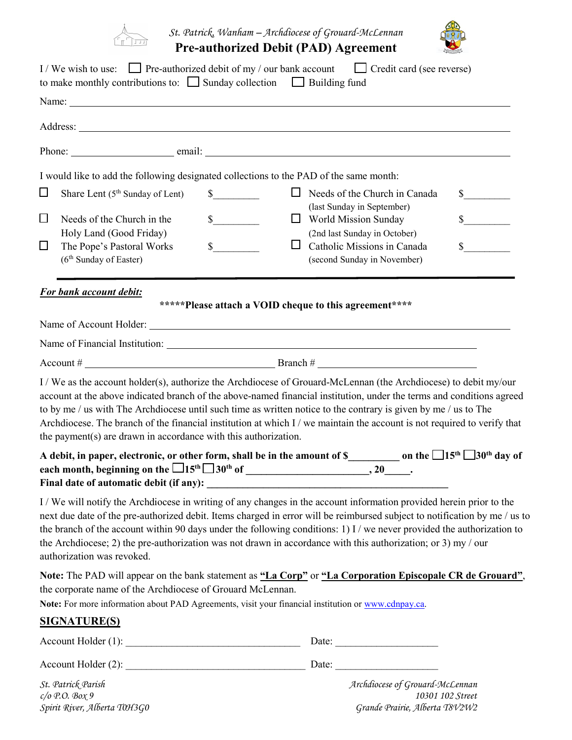

*St. Patrick, Wanham – Archdiocese of Grouard-McLennan* **Pre-authorized Debit (PAD) Agreement** 



|        | to make monthly contributions to: $\Box$ Sunday collection $\Box$ Building fund                                                                                   |                                                        | I/We wish to use: Pre-authorized debit of my / our bank account $\Box$ Credit card (see reverse)                                                                                                                                                                                                                                                                                                                                                                                                                        |
|--------|-------------------------------------------------------------------------------------------------------------------------------------------------------------------|--------------------------------------------------------|-------------------------------------------------------------------------------------------------------------------------------------------------------------------------------------------------------------------------------------------------------------------------------------------------------------------------------------------------------------------------------------------------------------------------------------------------------------------------------------------------------------------------|
|        |                                                                                                                                                                   |                                                        |                                                                                                                                                                                                                                                                                                                                                                                                                                                                                                                         |
|        |                                                                                                                                                                   |                                                        |                                                                                                                                                                                                                                                                                                                                                                                                                                                                                                                         |
|        |                                                                                                                                                                   |                                                        |                                                                                                                                                                                                                                                                                                                                                                                                                                                                                                                         |
|        | I would like to add the following designated collections to the PAD of the same month:                                                                            |                                                        |                                                                                                                                                                                                                                                                                                                                                                                                                                                                                                                         |
| $\Box$ | Share Lent (5 <sup>th</sup> Sunday of Lent)                                                                                                                       | $\frac{\text{S}}{\text{S}}$                            | $\Box$ Needs of the Church in Canada<br>$\frac{\text{S}}{\text{S}}$<br>(last Sunday in September)                                                                                                                                                                                                                                                                                                                                                                                                                       |
| $\Box$ | Needs of the Church in the<br>Holy Land (Good Friday)                                                                                                             | $\sim$                                                 | $\sim$<br>$\Box$ World Mission Sunday<br>(2nd last Sunday in October)                                                                                                                                                                                                                                                                                                                                                                                                                                                   |
| $\Box$ | The Pope's Pastoral Works<br>(6 <sup>th</sup> Sunday of Easter)                                                                                                   | $\mathbb{S}$<br>Ц                                      | $\mathbb{S}$<br>Catholic Missions in Canada<br>(second Sunday in November)                                                                                                                                                                                                                                                                                                                                                                                                                                              |
|        | For bank account debit:                                                                                                                                           |                                                        |                                                                                                                                                                                                                                                                                                                                                                                                                                                                                                                         |
|        |                                                                                                                                                                   | *****Please attach a VOID cheque to this agreement**** |                                                                                                                                                                                                                                                                                                                                                                                                                                                                                                                         |
|        |                                                                                                                                                                   |                                                        |                                                                                                                                                                                                                                                                                                                                                                                                                                                                                                                         |
|        |                                                                                                                                                                   |                                                        |                                                                                                                                                                                                                                                                                                                                                                                                                                                                                                                         |
|        | the payment( $s$ ) are drawn in accordance with this authorization.                                                                                               |                                                        | account at the above indicated branch of the above-named financial institution, under the terms and conditions agreed<br>to by me / us with The Archdiocese until such time as written notice to the contrary is given by me / us to The<br>Archdiocese. The branch of the financial institution at which I / we maintain the account is not required to verify that<br>A debit, in paper, electronic, or other form, shall be in the amount of $\frac{1}{2}$ on the $\frac{1}{5}$ $\frac{5}{15}$ $\frac{1}{30}$ day of |
|        |                                                                                                                                                                   |                                                        |                                                                                                                                                                                                                                                                                                                                                                                                                                                                                                                         |
|        | authorization was revoked.                                                                                                                                        |                                                        | I/We will notify the Archdiocese in writing of any changes in the account information provided herein prior to the<br>next due date of the pre-authorized debit. Items charged in error will be reimbursed subject to notification by me / us to<br>the branch of the account within 90 days under the following conditions: 1) I / we never provided the authorization to<br>the Archdiocese; 2) the pre-authorization was not drawn in accordance with this authorization; or 3) my / our                             |
|        | the corporate name of the Archdiocese of Grouard McLennan.<br>Note: For more information about PAD Agreements, visit your financial institution or www.cdnpay.ca. |                                                        | Note: The PAD will appear on the bank statement as "La Corp" or "La Corporation Episcopale CR de Grouard",                                                                                                                                                                                                                                                                                                                                                                                                              |
|        | <b>SIGNATURE(S)</b>                                                                                                                                               |                                                        |                                                                                                                                                                                                                                                                                                                                                                                                                                                                                                                         |
|        |                                                                                                                                                                   |                                                        |                                                                                                                                                                                                                                                                                                                                                                                                                                                                                                                         |
|        |                                                                                                                                                                   |                                                        |                                                                                                                                                                                                                                                                                                                                                                                                                                                                                                                         |
|        | St. Patrick Parish                                                                                                                                                |                                                        | Archdiocese of Grouard-McLennan                                                                                                                                                                                                                                                                                                                                                                                                                                                                                         |

*c/o P.O. Box 9 10301 102 Street Spirit River, Alberta T0H3G0 Grande Prairie, Alberta T8V2W2*